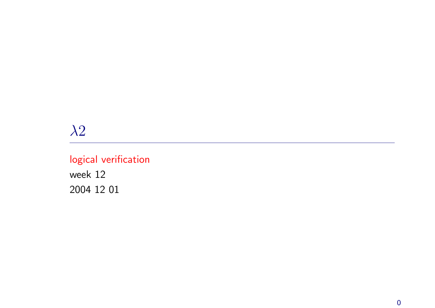# $\lambda 2$

# logical verification

week 12 2004 12 01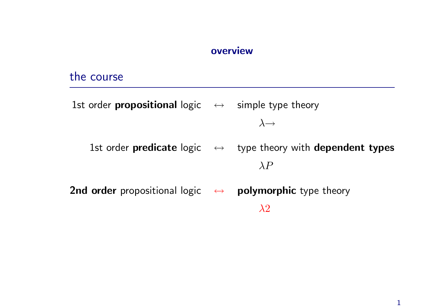#### overview

### the course

1st order **propositional** logic  $\leftrightarrow$  simple type theory  $\lambda \rightarrow$ 1st order predicate logic  $\leftrightarrow$  type theory with dependent types  $\lambda P$ 2nd order propositional logic  $\leftrightarrow$  polymorphic type theory

 $\lambda 2$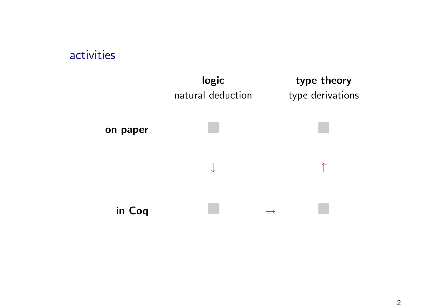# activities

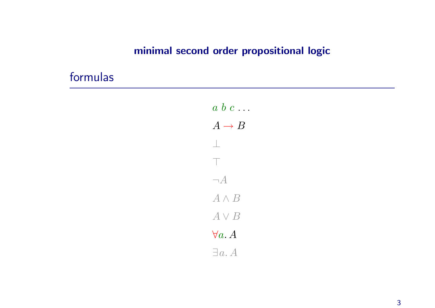## minimal second order propositional logic

# formulas

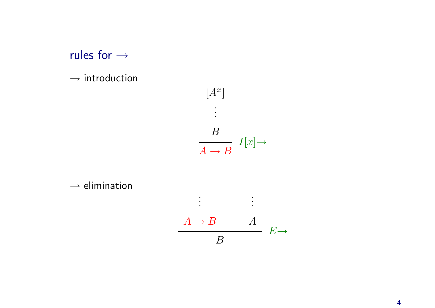rules for <sup>→</sup>

 $\rightarrow$  introduction



 $\rightarrow$  elimination

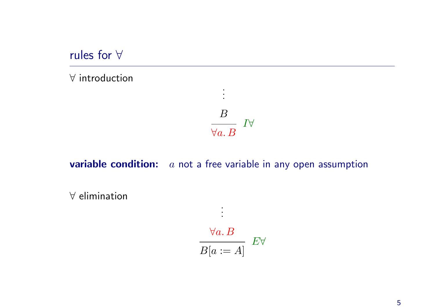rules for ∀

∀ introduction

$$
\begin{array}{c}\n B \\
 \hline\n \forall a.\, B\n \end{array}\n \quad I \forall
$$

. . .

**variable condition:**  $a$  not a free variable in any open assumption

. . .

∀ elimination

$$
\frac{\forall a. B}{B[a := A]} E \forall
$$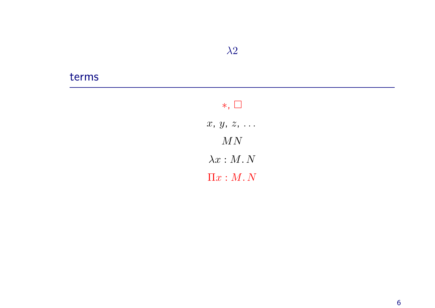### terms

## <sup>∗</sup>, ¤

 $x, y, z, \ldots$  $MN$  $\lambda x : M. N$  $\Pi x : M. N$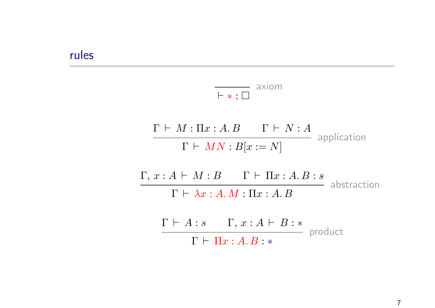#### rules

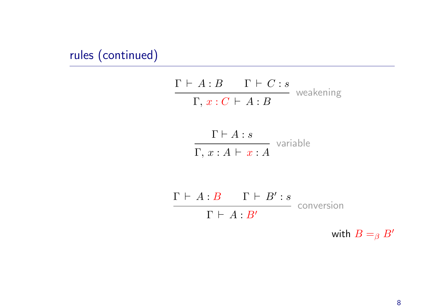# rules (continued)

$$
\frac{\Gamma \vdash A:B \qquad \Gamma \vdash C:s}{\Gamma,\, x:C \vdash A:B} \text{ weakening}
$$

$$
\frac{\Gamma \vdash A : s}{\Gamma, x : A \vdash x : A}
$$
 variable

$$
\frac{\Gamma \vdash A : B \qquad \Gamma \vdash B' : s}{\Gamma \vdash A : B'} \quad \text{conversion}
$$

with  $B =_{\beta} B'$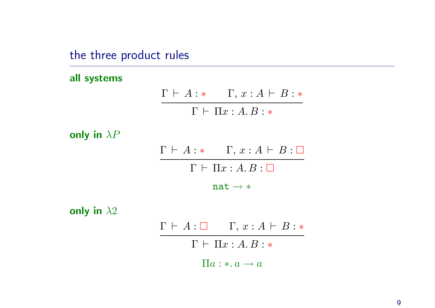the three product rules

all systems

 $\Gamma \vdash A : * \quad \Gamma, x : A \vdash B : *$  $\Gamma \vdash \Pi x : A . B : *$ 

only in  $\lambda P$ 

 $\Gamma \vdash A : * \quad \Gamma, x : A \vdash B : \Box$  $\Gamma \vdash \Pi x : A. B : \Box$ 

 $nat \rightarrow *$ 

only in  $\lambda 2$ 

 $\Gamma \vdash A : \Box \qquad \Gamma, x : A \vdash B : *$  $\Gamma \vdash \Pi x : A.B : *$  $\Pi a : * a \rightarrow a$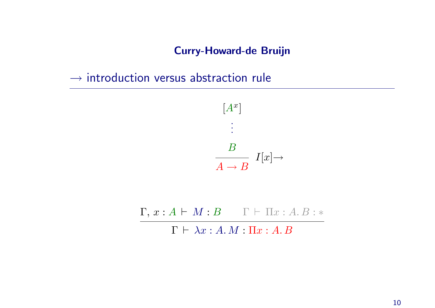#### Curry-Howard-de Bruijn

 $\rightarrow$  introduction versus abstraction rule



 $\Gamma, x : A \vdash M : B$  Γ  $\vdash \Pi x : A. B : *$ 

 $\Gamma \vdash \lambda x : A.M : \Pi x : A.B$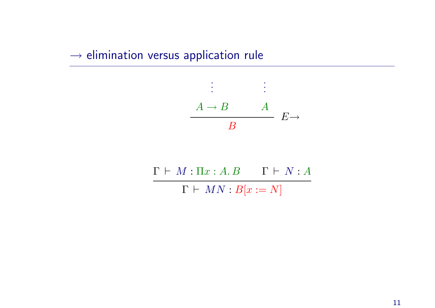### $\rightarrow$  elimination versus application rule



 $\Gamma \vdash M : \Pi x : A . B$  Γ  $\vdash N : A$  $\Gamma \vdash MN : B[x := N]$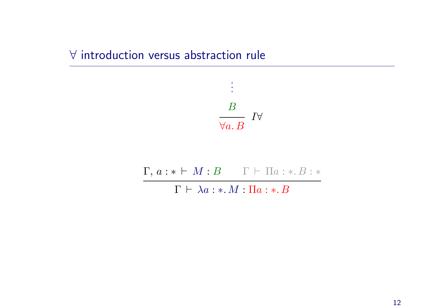# ∀ introduction versus abstraction rule



 $\Gamma, a : * \vdash M : B$  Γ  $\vdash \Pi a : * \ldots B : *$ 

 $\Gamma \vdash \lambda a : * M : \Pi a : * B$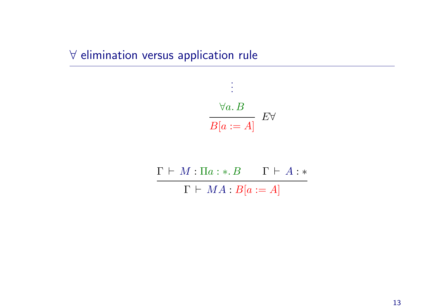# ∀ elimination versus application rule

$$
\frac{\forall a. \ B}{B[a := A]} \quad E \forall
$$

.

 $\Gamma \vdash M : \Pi a : * . B \qquad \Gamma \vdash A : *$  $\Gamma \vdash MA : B[a := A]$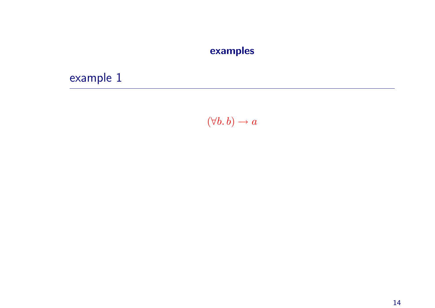## examples

example 1

 $(\forall b. b) \rightarrow a$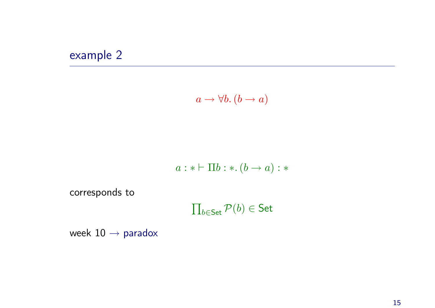# example 2

$$
a \to \forall b. (b \to a)
$$

$$
a: * \vdash \Pi b: *.(b \rightarrow a): *
$$

corresponds to

 $\prod_{b \in \mathsf{Set}} \mathcal{P}(b) \in \mathsf{Set}$ 

week  $10 \rightarrow$  paradox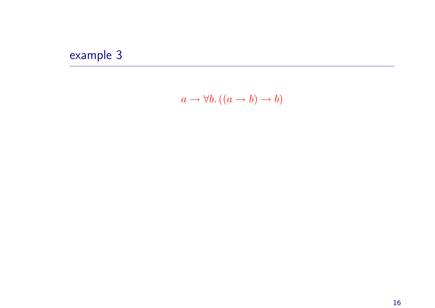# example 3

$$
a \to \forall b. ((a \to b) \to b)
$$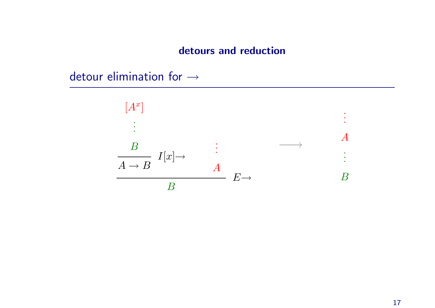#### detours and reduction

detour elimination for <sup>→</sup>

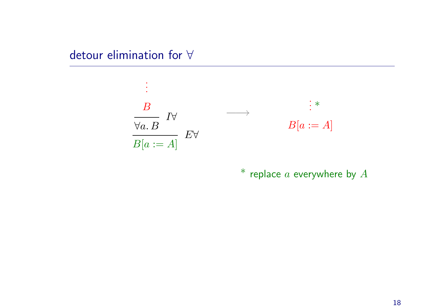detour elimination for ∀



 $^{\ast}$  replace  $a$  everywhere by  $A$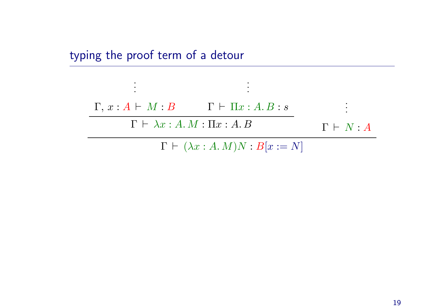# typing the proof term of <sup>a</sup> detour

. . .



. . .

 $\Gamma \vdash (\lambda x : A.M)N : B[x := N]$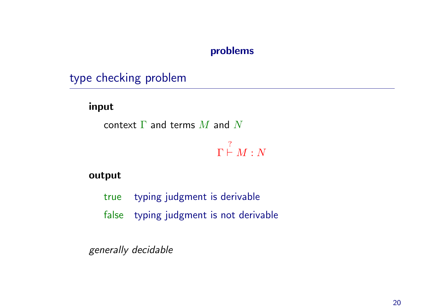#### problems

type checking problem

input

context  $\Gamma$  and terms  $M$  and  $N$ 

Γ ?  $\vdash M : N$ 

#### output

- true typing judgment is derivable
- false typing judgment is not derivable

generally decidable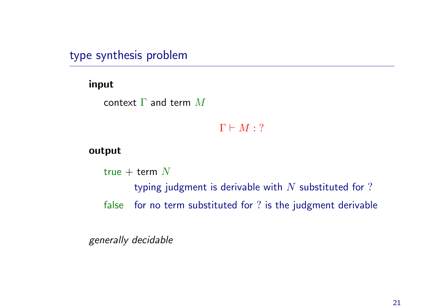type synthesis problem

#### input

context  $\Gamma$  and term  $M$ 

 $\Gamma \vdash M : ?$ 

#### output

true + term  $N$ 

typing judgment is derivable with  $N$  substituted for ?

false for no term substituted for ? is the judgment derivable

generally decidable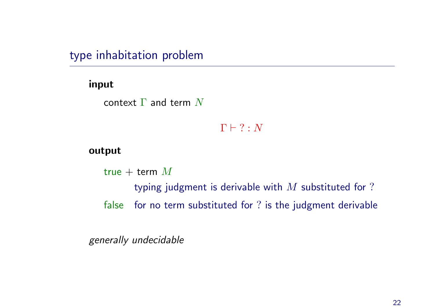type inhabitation problem

#### input

context  $\Gamma$  and term  $N$ 

 $\Gamma \vdash ? : N$ 

#### output

true + term  $M$ 

typing judgment is derivable with  $M$  substituted for ?

false for no term substituted for ? is the judgment derivable

generally undecidable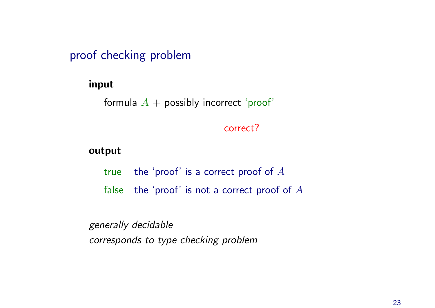proof checking problem

#### input

```
formula A + possibly incorrect 'proof'
```
#### correct?

#### output

true the 'proof' is a correct proof of  $A$ false the 'proof' is not a correct proof of  $A$ 

generally decidable corresponds to type checking problem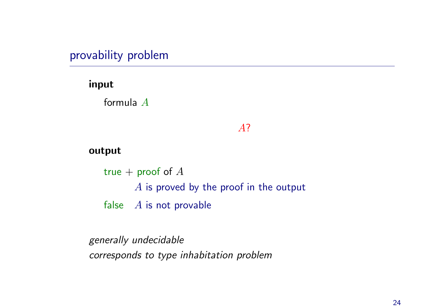provability problem

input

formula A

#### A?

#### output

true + proof of  $A$ A is proved by the proof in the output false  $A$  is not provable

generally undecidable corresponds to type inhabitation problem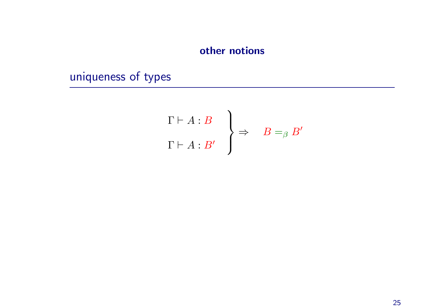# other notions

uniqueness of types

$$
\Gamma \vdash A : B \qquad \Rightarrow \qquad B =_{\beta} B'
$$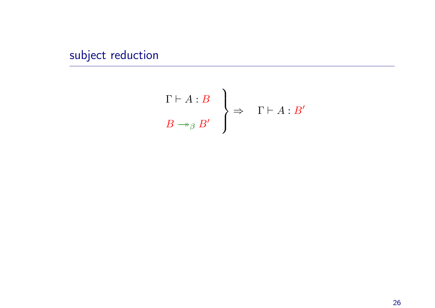subject reduction

$$
\left.\begin{array}{c}\n\Gamma \vdash A : B \\
B \to_{\beta} B'\n\end{array}\right\} \Rightarrow \Gamma \vdash A : B'
$$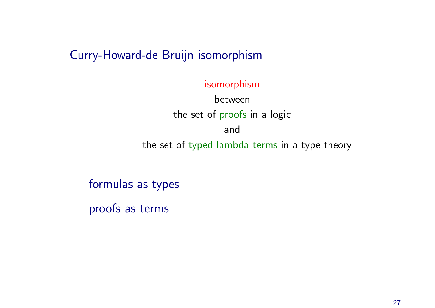Curry-Howard-de Bruijn isomorphism

isomorphism

between the set of proofs in <sup>a</sup> logic and the set of typed lambda terms in <sup>a</sup> type theory

formulas as types

proofs as terms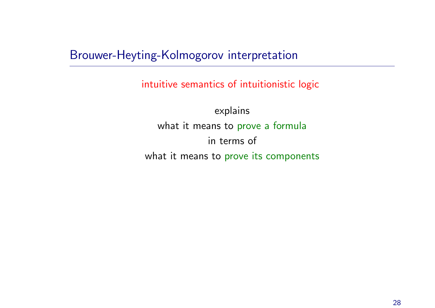Brouwer-Heyting-Kolmogorov interpretation

intuitive semantics of intuitionistic logic

explains what it means to prove a formula in terms of what it means to prove its components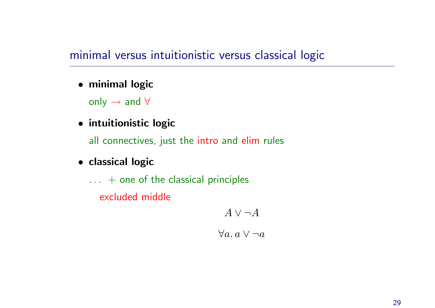# minimal versus intuitionistic versus classical logic

• minimal logic

only  $\rightarrow$  and  $\forall$ 

• intuitionistic logic

all connectives, just the intro and elim rules

- classical logic
	- $\ldots$  + one of the classical principles

excluded middle

 $A \vee \neg A$  $\forall a. a \vee \neg a$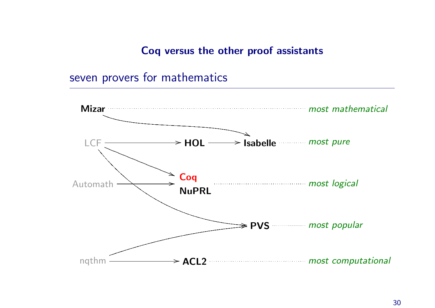Coq versus the other proof assistants

seven provers for mathematics

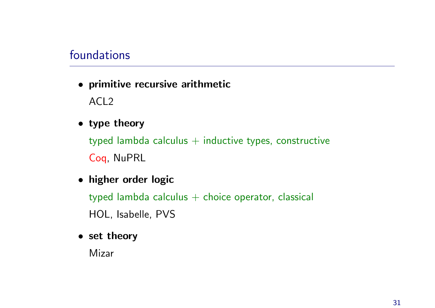## foundations

• primitive recursive arithmetic

ACL2

• type theory

typed lambda calculus  $+$  inductive types, constructive Coq, NuPRL

• higher order logic

typed lambda calculus  $+$  choice operator, classical HOL, Isabelle, PVS

• set theory

Mizar